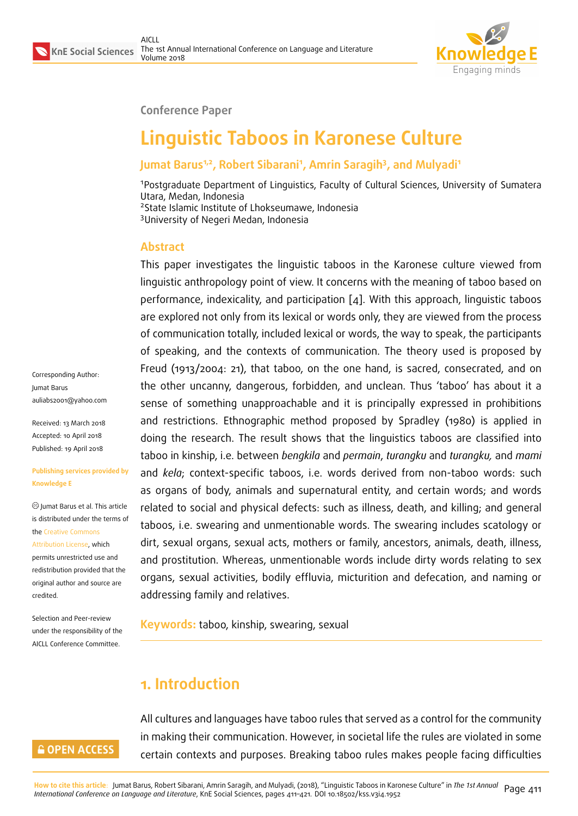

#### **Conference Paper**

# **Linguistic Taboos in Karonese Culture**

### **Jumat Barus1,2, Robert Sibarani<sup>1</sup> , Amrin Saragih<sup>3</sup> , and Mulyadi<sup>1</sup>**

Postgraduate Department of Linguistics, Faculty of Cultural Sciences, University of Sumatera Utara, Medan, Indonesia State Islamic Institute of Lhokseumawe, Indonesia University of Negeri Medan, Indonesia

### **Abstract**

This paper investigates the linguistic taboos in the Karonese culture viewed from linguistic anthropology point of view. It concerns with the meaning of taboo based on performance, indexicality, and participation [4]. With this approach, linguistic taboos are explored not only from its lexical or words only, they are viewed from the process of communication totally, included lexical or words, the way to speak, the participants of speaking, and the contexts of communi[ca](#page-9-0)tion. The theory used is proposed by Freud (1913/2004: 21), that taboo, on the one hand, is sacred, consecrated, and on the other uncanny, dangerous, forbidden, and unclean. Thus 'taboo' has about it a sense of something unapproachable and it is principally expressed in prohibitions and restrictions. Ethnographic method proposed by Spradley (1980) is applied in doing the research. The result shows that the linguistics taboos are classified into taboo in kinship, i.e. between *bengkila* and *permain*, *turangku* and *turangku,* and *mami* and *kela*; context-specific taboos, i.e. words derived from non-taboo words: such as organs of body, animals and supernatural entity, and certain words; and words related to social and physical defects: such as illness, death, and killing; and general taboos, i.e. swearing and unmentionable words. The swearing includes scatology or dirt, sexual organs, sexual acts, mothers or family, ancestors, animals, death, illness, and prostitution. Whereas, unmentionable words include dirty words relating to sex organs, sexual activities, bodily effluvia, micturition and defecation, and naming or addressing family and relatives.

**Keywords:** taboo, kinship, swearing, sexual

# **1. Introduction**

All cultures and languages have taboo rules that served as a control for the community in making their communication. However, in societal life the rules are violated in some certain contexts and purposes. Breaking taboo rules makes people facing difficulties

Corresponding Author: Jumat Barus auliabs2001@yahoo.com

Received: 13 March 2018 Accepted: 10 April 2018 [Published: 19 April 2018](mailto:auliabs2001@yahoo.com)

#### **Publishing services provided by Knowledge E**

Jumat Barus et al. This article is distributed under the terms of the Creative Commons Attribution License, which permits unrestricted use and redistribution provided that the ori[ginal author and sou](https://creativecommons.org/licenses/by/4.0/)rce are [credited.](https://creativecommons.org/licenses/by/4.0/)

Selection and Peer-review under the responsibility of the AICLL Conference Committee.

#### **GOPEN ACCESS**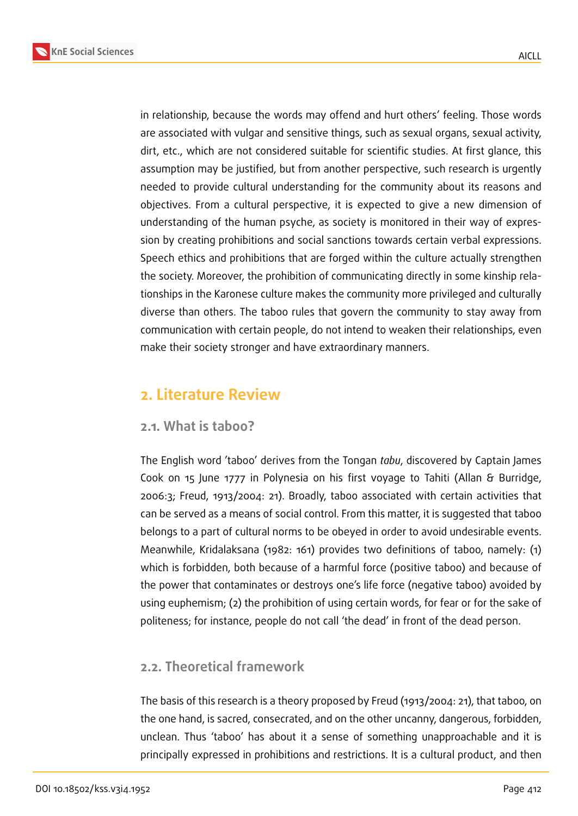

in relationship, because the words may offend and hurt others' feeling. Those words are associated with vulgar and sensitive things, such as sexual organs, sexual activity, dirt, etc., which are not considered suitable for scientific studies. At first glance, this assumption may be justified, but from another perspective, such research is urgently needed to provide cultural understanding for the community about its reasons and objectives. From a cultural perspective, it is expected to give a new dimension of understanding of the human psyche, as society is monitored in their way of expression by creating prohibitions and social sanctions towards certain verbal expressions. Speech ethics and prohibitions that are forged within the culture actually strengthen the society. Moreover, the prohibition of communicating directly in some kinship relationships in the Karonese culture makes the community more privileged and culturally diverse than others. The taboo rules that govern the community to stay away from communication with certain people, do not intend to weaken their relationships, even make their society stronger and have extraordinary manners.

# **2. Literature Review**

#### **2.1. What is taboo?**

The English word 'taboo' derives from the Tongan *tabu*, discovered by Captain James Cook on 15 June 1777 in Polynesia on his first voyage to Tahiti (Allan & Burridge, 2006:3; Freud, 1913/2004: 21). Broadly, taboo associated with certain activities that can be served as a means of social control. From this matter, it is suggested that taboo belongs to a part of cultural norms to be obeyed in order to avoid undesirable events. Meanwhile, Kridalaksana (1982: 161) provides two definitions of taboo, namely: (1) which is forbidden, both because of a harmful force (positive taboo) and because of the power that contaminates or destroys one's life force (negative taboo) avoided by using euphemism; (2) the prohibition of using certain words, for fear or for the sake of politeness; for instance, people do not call 'the dead' in front of the dead person.

### **2.2. Theoretical framework**

The basis of this research is a theory proposed by Freud (1913/2004: 21), that taboo, on the one hand, is sacred, consecrated, and on the other uncanny, dangerous, forbidden, unclean. Thus 'taboo' has about it a sense of something unapproachable and it is principally expressed in prohibitions and restrictions. It is a cultural product, and then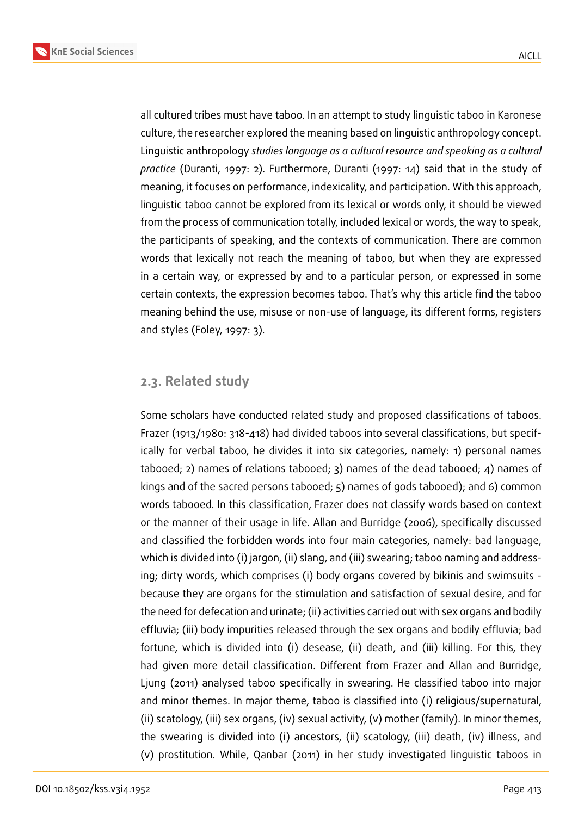

all cultured tribes must have taboo. In an attempt to study linguistic taboo in Karonese culture, the researcher explored the meaning based on linguistic anthropology concept. Linguistic anthropology *studies language as a cultural resource and speaking as a cultural practice* (Duranti, 1997: 2). Furthermore, Duranti (1997: 14) said that in the study of meaning, it focuses on performance, indexicality, and participation. With this approach, linguistic taboo cannot be explored from its lexical or words only, it should be viewed from the process of communication totally, included lexical or words, the way to speak, the participants of speaking, and the contexts of communication. There are common words that lexically not reach the meaning of taboo, but when they are expressed in a certain way, or expressed by and to a particular person, or expressed in some certain contexts, the expression becomes taboo. That's why this article find the taboo meaning behind the use, misuse or non-use of language, its different forms, registers and styles (Foley, 1997: 3).

#### **2.3. Related study**

Some scholars have conducted related study and proposed classifications of taboos. Frazer (1913/1980: 318-418) had divided taboos into several classifications, but specifically for verbal taboo, he divides it into six categories, namely: 1) personal names tabooed; 2) names of relations tabooed; 3) names of the dead tabooed; 4) names of kings and of the sacred persons tabooed; 5) names of gods tabooed); and 6) common words tabooed. In this classification, Frazer does not classify words based on context or the manner of their usage in life. Allan and Burridge (2006), specifically discussed and classified the forbidden words into four main categories, namely: bad language, which is divided into (i) jargon, (ii) slang, and (iii) swearing; taboo naming and addressing; dirty words, which comprises (i) body organs covered by bikinis and swimsuits because they are organs for the stimulation and satisfaction of sexual desire, and for the need for defecation and urinate; (ii) activities carried out with sex organs and bodily effluvia; (iii) body impurities released through the sex organs and bodily effluvia; bad fortune, which is divided into (i) desease, (ii) death, and (iii) killing. For this, they had given more detail classification. Different from Frazer and Allan and Burridge, Ljung (2011) analysed taboo specifically in swearing. He classified taboo into major and minor themes. In major theme, taboo is classified into (i) religious/supernatural, (ii) scatology, (iii) sex organs, (iv) sexual activity, (v) mother (family). In minor themes, the swearing is divided into (i) ancestors, (ii) scatology, (iii) death, (iv) illness, and (v) prostitution. While, Qanbar (2011) in her study investigated linguistic taboos in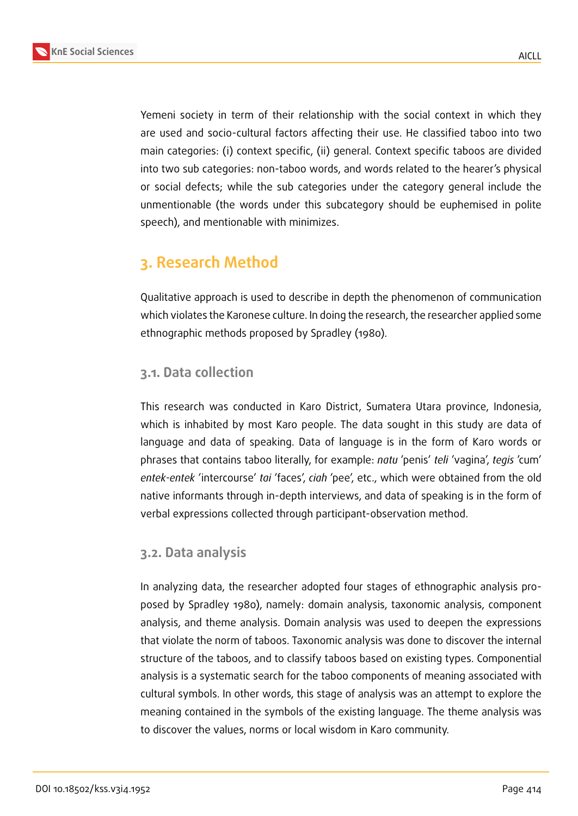Yemeni society in term of their relationship with the social context in which they are used and socio-cultural factors affecting their use. He classified taboo into two main categories: (i) context specific, (ii) general. Context specific taboos are divided into two sub categories: non-taboo words, and words related to the hearer's physical or social defects; while the sub categories under the category general include the unmentionable (the words under this subcategory should be euphemised in polite speech), and mentionable with minimizes.

# **3. Research Method**

Qualitative approach is used to describe in depth the phenomenon of communication which violates the Karonese culture. In doing the research, the researcher applied some ethnographic methods proposed by Spradley (1980).

### **3.1. Data collection**

This research was conducted in Karo District, Sumatera Utara province, Indonesia, which is inhabited by most Karo people. The data sought in this study are data of language and data of speaking. Data of language is in the form of Karo words or phrases that contains taboo literally, for example: *natu* 'penis' *teli* 'vagina', *tegis* 'cum' *entek-entek* 'intercourse' *tai* 'faces', *ciah* 'pee', etc., which were obtained from the old native informants through in-depth interviews, and data of speaking is in the form of verbal expressions collected through participant-observation method.

### **3.2. Data analysis**

In analyzing data, the researcher adopted four stages of ethnographic analysis proposed by Spradley 1980), namely: domain analysis, taxonomic analysis, component analysis, and theme analysis. Domain analysis was used to deepen the expressions that violate the norm of taboos. Taxonomic analysis was done to discover the internal structure of the taboos, and to classify taboos based on existing types. Componential analysis is a systematic search for the taboo components of meaning associated with cultural symbols. In other words, this stage of analysis was an attempt to explore the meaning contained in the symbols of the existing language. The theme analysis was to discover the values, norms or local wisdom in Karo community.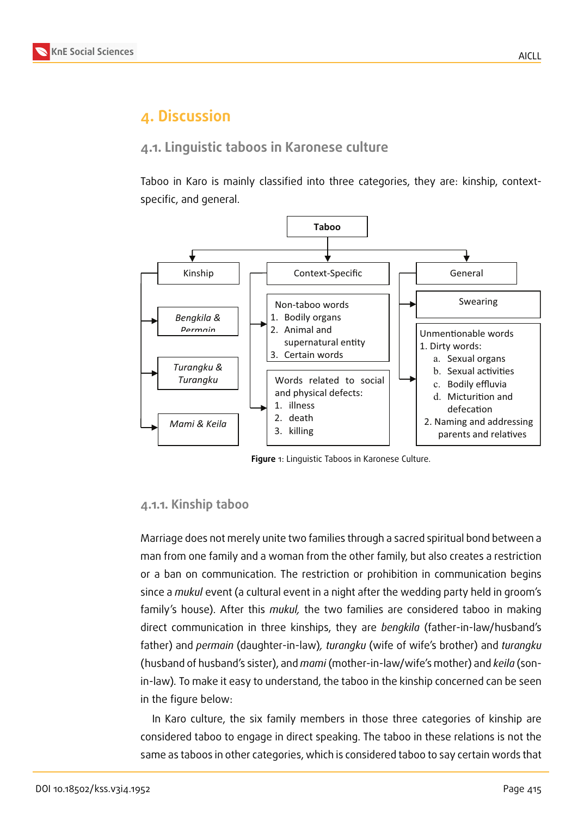# **4. Discussion**

### **4.1. Linguistic taboos in Karonese culture**

Taboo in Karo is mainly classified into three categories, they are: kinship, contextspecific, and general.



**Figure** 1: Linguistic Taboos in Karonese Culture.

#### **4.1.1. Kinship taboo**

Marriage does not merely unite two families through a sacred spiritual bond between a man from one family and a woman from the other family, but also creates a restriction or a ban on communication. The restriction or prohibition in communication begins since a *mukul* event (a cultural event in a night after the wedding party held in groom's family's house). After this *mukul,* the two families are considered taboo in making direct communication in three kinships, they are *bengkila* (father-in-law/husband's father) and *permain* (daughter-in-law)*, turangku* (wife of wife's brother) and *turangku* (husband of husband's sister), and *mami* (mother-in-law/wife's mother) and *keila* (sonin-law)*.* To make it easy to understand, the taboo in the kinship concerned can be seen in the figure below:

In Karo culture, the six family members in those three categories of kinship are considered taboo to engage in direct speaking. The taboo in these relations is not the same as taboos in other categories, which is considered taboo to say certain words that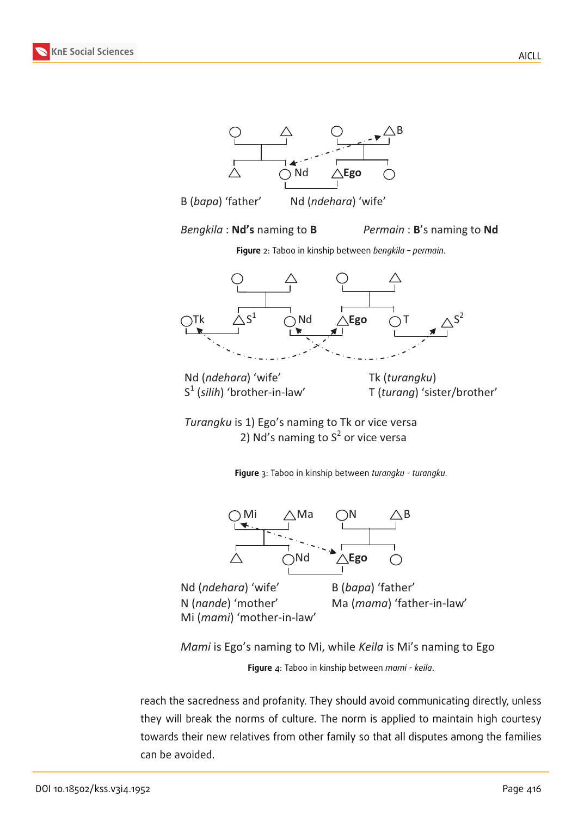**KnE Social Sciences**





*Bengkila* : **Nd's** naming to **B** *Permain* : **B**'s naming to **Nd**

**Figure** 2: Taboo in kinship between *bengkila – permain*.



Nd (*ndehara*) 'wife' Tk (*turangku*)  $S^1$ 

(*silih*) 'brother-in-law' T (*turang*) 'sister/brother'

*Turangku* is 1) Ego's naming to Tk or vice versa 2) Nd's naming to  $S^2$  or vice versa

**Figure** 3: Taboo in kinship between *turangku - turangku*.



Nd (*ndehara*) 'wife' B (*bapa*) 'father' N (*nande*) 'mother' Ma (*mama*) 'father-in-law' Mi (*mami*) 'mother-in-law'

*Mami* is Ego's naming to Mi, while *Keila* is Mi's naming to Ego

**Figure** 4: Taboo in kinship between *mami - keila*.

reach the sacredness and profanity. They should avoid communicating directly, unless they will break the norms of culture. The norm is applied to maintain high courtesy towards their new relatives from other family so that all disputes among the families can be avoided.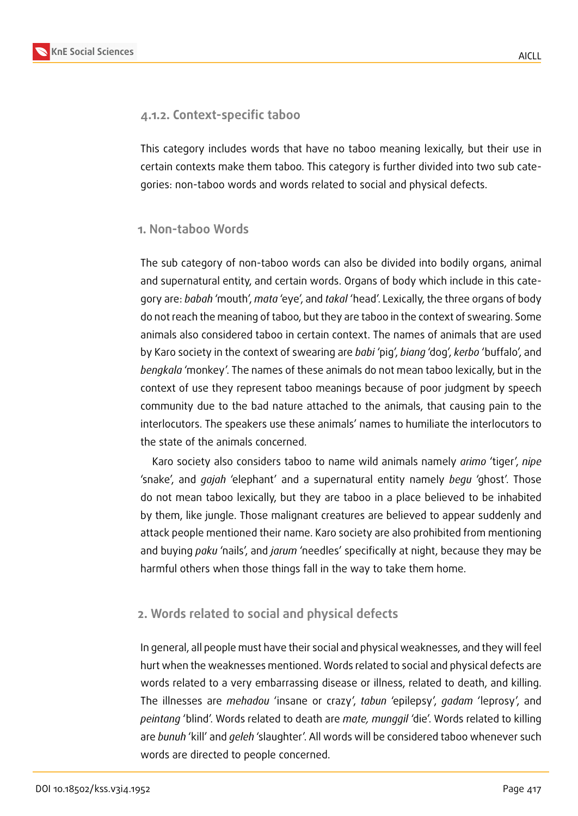

#### **4.1.2. Context-specific taboo**

This category includes words that have no taboo meaning lexically, but their use in certain contexts make them taboo. This category is further divided into two sub categories: non-taboo words and words related to social and physical defects.

#### **1. Non-taboo Words**

The sub category of non-taboo words can also be divided into bodily organs, animal and supernatural entity, and certain words. Organs of body which include in this category are: *babah* 'mouth', *mata* 'eye', and *takal* 'head'. Lexically, the three organs of body do not reach the meaning of taboo, but they are taboo in the context of swearing. Some animals also considered taboo in certain context. The names of animals that are used by Karo society in the context of swearing are *babi* 'pig', *biang* 'dog', *kerbo* 'buffalo', and *bengkala* 'monkey'. The names of these animals do not mean taboo lexically, but in the context of use they represent taboo meanings because of poor judgment by speech community due to the bad nature attached to the animals, that causing pain to the interlocutors. The speakers use these animals' names to humiliate the interlocutors to the state of the animals concerned.

Karo society also considers taboo to name wild animals namely *arimo* 'tiger', *nipe* 'snake', and *gajah* 'elephant' and a supernatural entity namely *begu* 'ghost'. Those do not mean taboo lexically, but they are taboo in a place believed to be inhabited by them, like jungle. Those malignant creatures are believed to appear suddenly and attack people mentioned their name. Karo society are also prohibited from mentioning and buying *paku* 'nails', and *jarum* 'needles' specifically at night, because they may be harmful others when those things fall in the way to take them home.

#### **2. Words related to social and physical defects**

In general, all people must have their social and physical weaknesses, and they will feel hurt when the weaknesses mentioned. Words related to social and physical defects are words related to a very embarrassing disease or illness, related to death, and killing. The illnesses are *mehadou* 'insane or crazy', *tabun* 'epilepsy', *gadam* 'leprosy', and *peintang* 'blind'. Words related to death are *mate, munggil* 'die'. Words related to killing are *bunuh* 'kill' and *geleh* 'slaughter'. All words will be considered taboo whenever such words are directed to people concerned.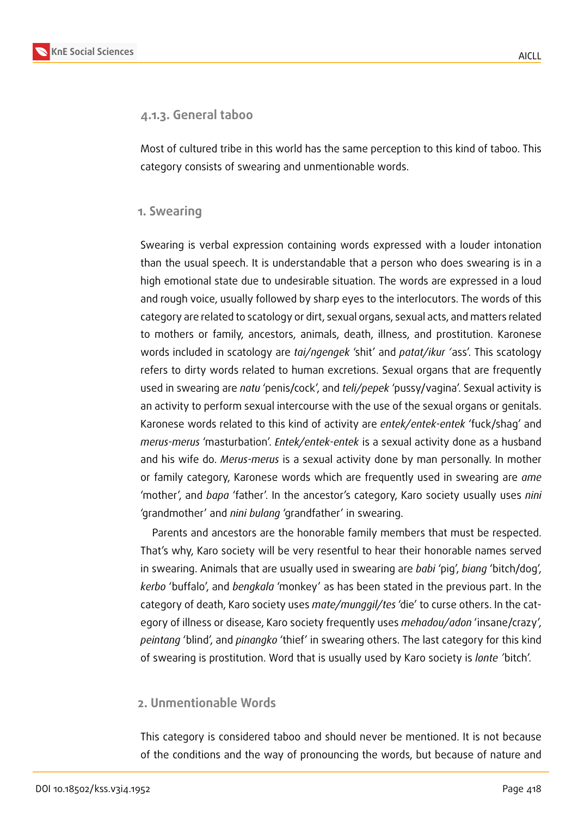

#### **4.1.3. General taboo**

Most of cultured tribe in this world has the same perception to this kind of taboo. This category consists of swearing and unmentionable words.

#### **1. Swearing**

Swearing is verbal expression containing words expressed with a louder intonation than the usual speech. It is understandable that a person who does swearing is in a high emotional state due to undesirable situation. The words are expressed in a loud and rough voice, usually followed by sharp eyes to the interlocutors. The words of this category are related to scatology or dirt, sexual organs, sexual acts, and matters related to mothers or family, ancestors, animals, death, illness, and prostitution. Karonese words included in scatology are *tai/ngengek* 'shit' and *patat/ikur '*ass'. This scatology refers to dirty words related to human excretions. Sexual organs that are frequently used in swearing are *natu* 'penis/cock', and *teli/pepek* 'pussy/vagina'. Sexual activity is an activity to perform sexual intercourse with the use of the sexual organs or genitals. Karonese words related to this kind of activity are *entek/entek-entek* 'fuck/shag' and *merus-merus* 'masturbation'. *Entek/entek-entek* is a sexual activity done as a husband and his wife do. *Merus-merus* is a sexual activity done by man personally. In mother or family category, Karonese words which are frequently used in swearing are *ame* 'mother', and *bapa* 'father'. In the ancestor's category, Karo society usually uses *nini* 'grandmother' and *nini bulang* 'grandfather' in swearing.

Parents and ancestors are the honorable family members that must be respected. That's why, Karo society will be very resentful to hear their honorable names served in swearing. Animals that are usually used in swearing are *babi* 'pig', *biang* 'bitch/dog', *kerbo* 'buffalo', and *bengkala* 'monkey' as has been stated in the previous part. In the category of death, Karo society uses *mate/munggil/tes* 'die' to curse others. In the category of illness or disease, Karo society frequently uses *mehadou/adon* 'insane/crazy', *peintang* 'blind', and *pinangko* 'thief' in swearing others. The last category for this kind of swearing is prostitution. Word that is usually used by Karo society is *lonte '*bitch'.

#### **2. Unmentionable Words**

This category is considered taboo and should never be mentioned. It is not because of the conditions and the way of pronouncing the words, but because of nature and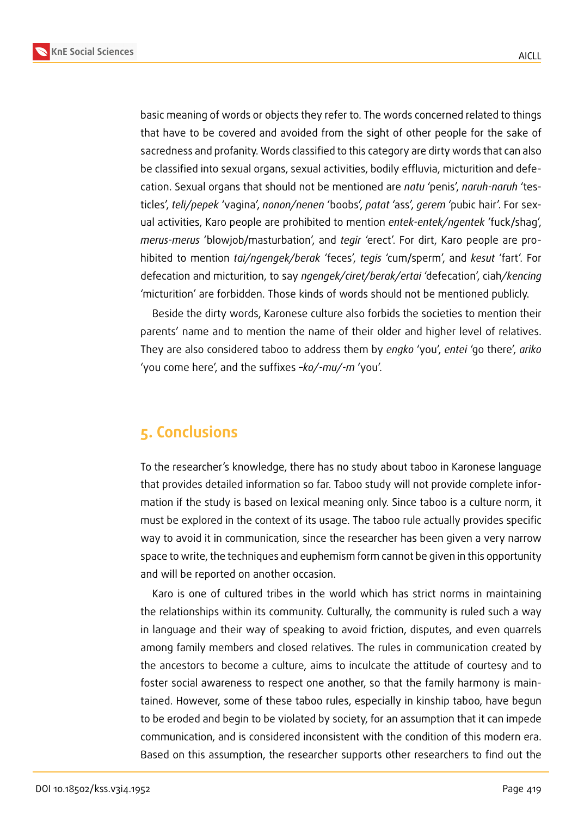**KnE Social Sciences**



basic meaning of words or objects they refer to. The words concerned related to things that have to be covered and avoided from the sight of other people for the sake of sacredness and profanity. Words classified to this category are dirty words that can also be classified into sexual organs, sexual activities, bodily effluvia, micturition and defecation. Sexual organs that should not be mentioned are *natu* 'penis', *naruh-naruh* 'testicles', *teli/pepek* 'vagina', *nonon/nenen* 'boobs', *patat* 'ass', *gerem* 'pubic hair'. For sexual activities, Karo people are prohibited to mention *entek-entek/ngentek* 'fuck/shag', *merus-merus* 'blowjob/masturbation', and *tegir* 'erect'. For dirt, Karo people are prohibited to mention *tai/ngengek/berak* 'feces', *tegis* 'cum/sperm', and *kesut* 'fart'. For defecation and micturition, to say *ngengek/ciret/berak/ertai* 'defecation', ciah*/kencing* 'micturition' are forbidden. Those kinds of words should not be mentioned publicly.

Beside the dirty words, Karonese culture also forbids the societies to mention their parents' name and to mention the name of their older and higher level of relatives. They are also considered taboo to address them by *engko* 'you', *entei* 'go there', *ariko* 'you come here', and the suffixes *–ko/-mu/-m* 'you'.

# **5. Conclusions**

To the researcher's knowledge, there has no study about taboo in Karonese language that provides detailed information so far. Taboo study will not provide complete information if the study is based on lexical meaning only. Since taboo is a culture norm, it must be explored in the context of its usage. The taboo rule actually provides specific way to avoid it in communication, since the researcher has been given a very narrow space to write, the techniques and euphemism form cannot be given in this opportunity and will be reported on another occasion.

Karo is one of cultured tribes in the world which has strict norms in maintaining the relationships within its community. Culturally, the community is ruled such a way in language and their way of speaking to avoid friction, disputes, and even quarrels among family members and closed relatives. The rules in communication created by the ancestors to become a culture, aims to inculcate the attitude of courtesy and to foster social awareness to respect one another, so that the family harmony is maintained. However, some of these taboo rules, especially in kinship taboo, have begun to be eroded and begin to be violated by society, for an assumption that it can impede communication, and is considered inconsistent with the condition of this modern era. Based on this assumption, the researcher supports other researchers to find out the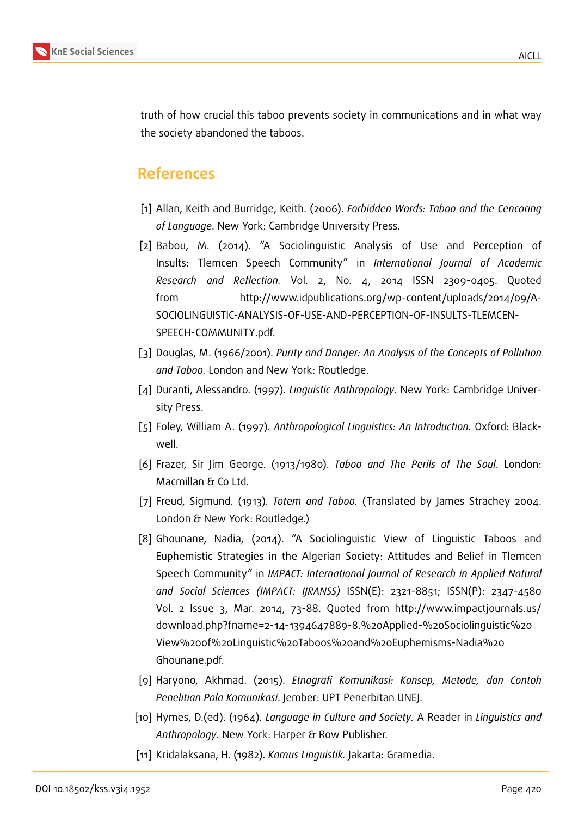

truth of how crucial this taboo prevents society in communications and in what way the society abandoned the taboos.

## **References**

- [1] Allan, Keith and Burridge, Keith. (2006). *Forbidden Words: Taboo and the Cencoring of Language*. New York: Cambridge University Press.
- [2] Babou, M. (2014). "A Sociolinguistic Analysis of Use and Perception of Insults: Tlemcen Speech Community" in *International Journal of Academic Research and Reflection.* Vol. 2, No. 4, 2014 ISSN 2309-0405. Quoted from http://www.idpublications.org/wp-content/uploads/2014/09/A-SOCIOLINGUISTIC-ANALYSIS-OF-USE-AND-PERCEPTION-OF-INSULTS-TLEMCEN-SPEECH-COMMUNITY.pdf.
- [3] Douglas, M. (1966/2001). *Purity and Danger: An Analysis of the Concepts of Pollution and Taboo.* London and New York: Routledge.
- <span id="page-9-0"></span>[4] Duranti, Alessandro. (1997). *Linguistic Anthropology.* New York: Cambridge University Press.
- [5] Foley, William A. (1997). *Anthropological Linguistics: An Introduction.* Oxford: Blackwell.
- [6] Frazer, Sir Jim George. (1913/1980). *Taboo and The Perils of The Soul*. London: Macmillan & Co Ltd.
- [7] Freud, Sigmund. (1913). *Totem and Taboo.* (Translated by James Strachey 2004. London & New York: Routledge.)
- [8] Ghounane, Nadia, (2014). "A Sociolinguistic View of Linguistic Taboos and Euphemistic Strategies in the Algerian Society: Attitudes and Belief in Tlemcen Speech Community" in *IMPACT: International Journal of Research in Applied Natural and Social Sciences (IMPACT: IJRANSS)* ISSN(E): 2321-8851; ISSN(P): 2347-4580 Vol. 2 Issue 3, Mar. 2014, 73-88. Quoted from http://www.impactjournals.us/ download.php?fname=2-14-1394647889-8.%20Applied-%20Sociolinguistic%20 View%20of%20Linguistic%20Taboos%20and%20Euphemisms-Nadia%20 Ghounane.pdf.
- [9] Haryono, Akhmad. (2015). *Etnografi Komunikasi: Konsep, Metode, dan Contoh Penelitian Pola Komunikasi*. Jember: UPT Penerbitan UNEJ.
- [10] Hymes, D.(ed). (1964). *Language in Culture and Society.* A Reader in *Linguistics and Anthropology.* New York: Harper & Row Publisher.
- [11] Kridalaksana, H. (1982). *Kamus Linguistik.* Jakarta: Gramedia.